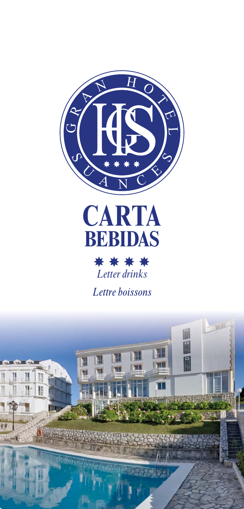



\*\*\*\* *Letter drinks*

*Lettre boissons*

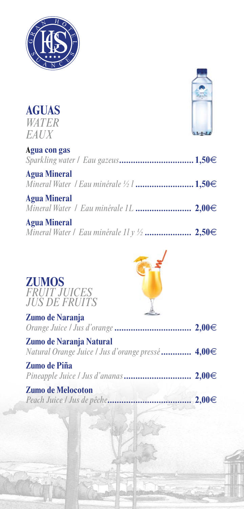

**AGUAS**



| <b>WATER</b><br>EAUX |  |
|----------------------|--|
| Agua con gas         |  |
| <b>Agua Mineral</b>  |  |
| <b>Agua Mineral</b>  |  |
| <b>Agua Mineral</b>  |  |

|  |  |  |  |  | <i>Mineral Water   Eau minérale 11 y ½</i> 2,50€ |  |
|--|--|--|--|--|--------------------------------------------------|--|
|--|--|--|--|--|--------------------------------------------------|--|

| <b>ZUMOS</b>               |
|----------------------------|
| <i><b>FRUIT JUICES</b></i> |
| <b>JUS DE FRUITS</b>       |



| Zumo de Naranja                                                                     |  |
|-------------------------------------------------------------------------------------|--|
| <b>Zumo de Naranja Natural</b><br>Natural Orange Juice / Jus d'orange pressé  4,00€ |  |
| <b>Zumo de Piña</b>                                                                 |  |
| <b>Zumo de Melocoton</b>                                                            |  |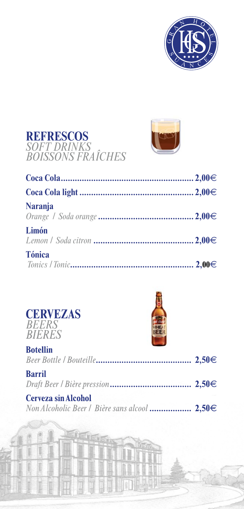





| Naranja       |  |
|---------------|--|
| Limón         |  |
| <b>Tónica</b> |  |





| <b>Botellin</b>                                                            |  |
|----------------------------------------------------------------------------|--|
| <b>Barril</b>                                                              |  |
| <b>Cerveza sin Alcohol</b><br>Non Alcoholic Beer / Bière sans alcool 2,50€ |  |
|                                                                            |  |